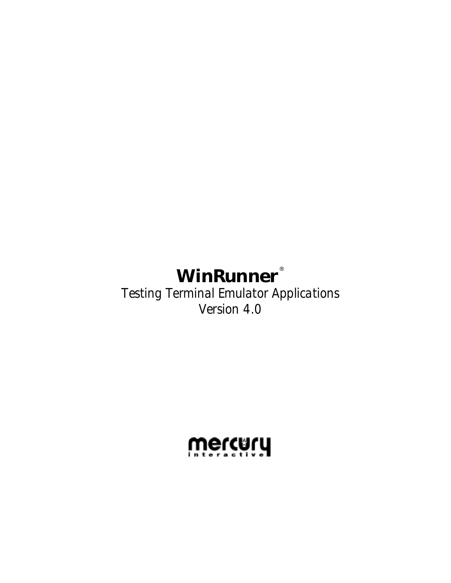# **WinRunner**  $\mathbf{P} \mathbf{P} \mathbf{P} \mathbf{P} \mathbf{P} \mathbf{P} \mathbf{P} \mathbf{P} \mathbf{P} \mathbf{P} \mathbf{P} \mathbf{P} \mathbf{P} \mathbf{P} \mathbf{P} \mathbf{P} \mathbf{P} \mathbf{P} \mathbf{P} \mathbf{P} \mathbf{P} \mathbf{P} \mathbf{P} \mathbf{P} \mathbf{P} \mathbf{P} \mathbf{P} \mathbf{P} \mathbf{P} \mathbf{P} \mathbf{P} \mathbf{P} \mathbf{P} \mathbf{P} \mathbf{P} \mathbf{P} \mathbf{$

# *Testing Terminal Emulator Applications Version 4.0*

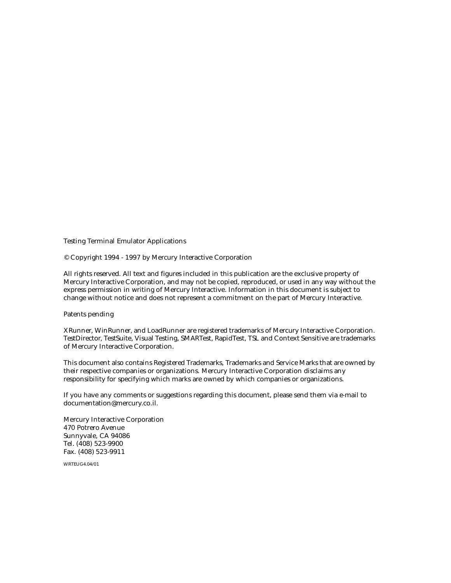Testing Terminal Emulator Applications

© Copyright 1994 - 1997 by Mercury Interactive Corporation

All rights reserved. All text and figures included in this publication are the exclusive property of Mercury Interactive Corporation, and may not be copied, reproduced, or used in any way without the express permission in writing of Mercury Interactive. Information in this document is subject to change without notice and does not represent a commitment on the part of Mercury Interactive.

#### Patents pending

XRunner, WinRunner, and LoadRunner are registered trademarks of Mercury Interactive Corporation. TestDirector, TestSuite, Visual Testing, SMARTest, RapidTest, TSL and Context Sensitive are trademarks of Mercury Interactive Corporation.

This document also contains Registered Trademarks, Trademarks and Service Marks that are owned by their respective companies or organizations. Mercury Interactive Corporation disclaims any responsibility for specifying which marks are owned by which companies or organizations.

If you have any comments or suggestions regarding this document, please send them via e-mail to documentation@mercury.co.il.

Mercury Interactive Corporation 470 Potrero Avenue Sunnyvale, CA 94086 Tel. (408) 523-9900 Fax. (408) 523-9911

WRTEUG4.04/01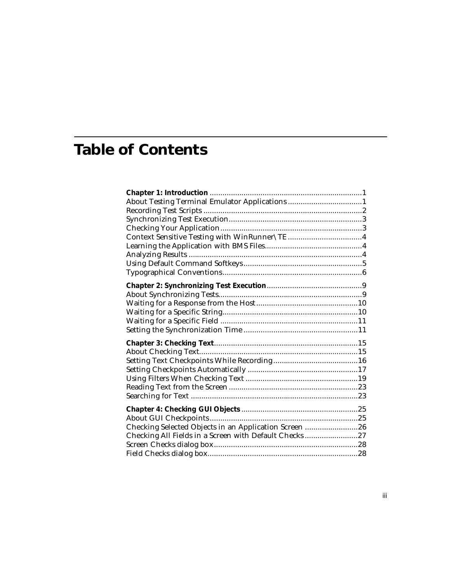# **Table of Contents**

| About Testing Terminal Emulator Applications 1        |  |
|-------------------------------------------------------|--|
|                                                       |  |
|                                                       |  |
|                                                       |  |
| Context Sensitive Testing with WinRunner\TE4          |  |
|                                                       |  |
|                                                       |  |
|                                                       |  |
|                                                       |  |
|                                                       |  |
|                                                       |  |
|                                                       |  |
|                                                       |  |
|                                                       |  |
|                                                       |  |
|                                                       |  |
|                                                       |  |
|                                                       |  |
|                                                       |  |
|                                                       |  |
|                                                       |  |
|                                                       |  |
|                                                       |  |
|                                                       |  |
|                                                       |  |
| Checking Selected Objects in an Application Screen 26 |  |
| Checking All Fields in a Screen with Default Checks27 |  |
|                                                       |  |
|                                                       |  |
|                                                       |  |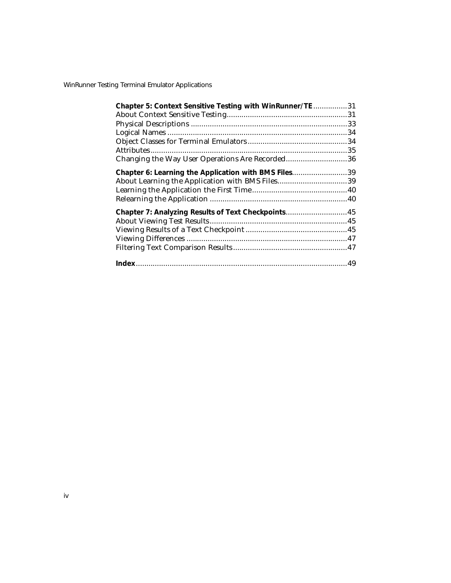| Chapter 5: Context Sensitive Testing with WinRunner/TE31 |  |
|----------------------------------------------------------|--|
|                                                          |  |
|                                                          |  |
|                                                          |  |
|                                                          |  |
|                                                          |  |
| Changing the Way User Operations Are Recorded36          |  |
| Chapter 6: Learning the Application with BMS Files39     |  |
| About Learning the Application with BMS Files39          |  |
|                                                          |  |
|                                                          |  |
| Chapter 7: Analyzing Results of Text Checkpoints45       |  |
|                                                          |  |
|                                                          |  |
|                                                          |  |
|                                                          |  |
|                                                          |  |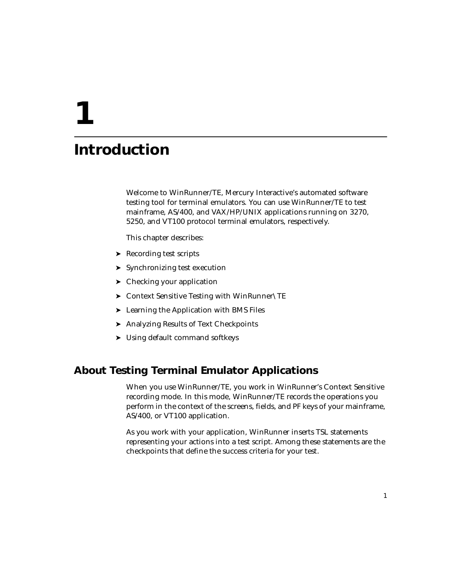<span id="page-4-0"></span>**1**

# **Introduction**

Welcome to WinRunner/TE, Mercury Interactive's automated software testing tool for terminal emulators. You can use WinRunner/TE to test mainframe, AS/400, and VAX/HP/UNIX applications running on 3270, 5250, and VT100 protocol terminal emulators, respectively.

This chapter describes:

- ➤ Recording test scripts
- ➤ Synchronizing test execution
- ➤ Checking your application
- ➤ Context Sensitive Testing with WinRunner\TE
- ➤ Learning the Application with BMS Files
- ➤ Analyzing Results of Text Checkpoints
- ➤ Using default command softkeys

### **About Testing Terminal Emulator Applications**

When you use WinRunner/TE, you work in WinRunner's Context Sensitive recording mode. In this mode, WinRunner/TE records the operations you perform in the context of the screens, fields, and PF keys of your mainframe, AS/400, or VT100 application.

As you work with your application, WinRunner inserts TSL statements representing your actions into a test script. Among these statements are the checkpoints that define the success criteria for your test.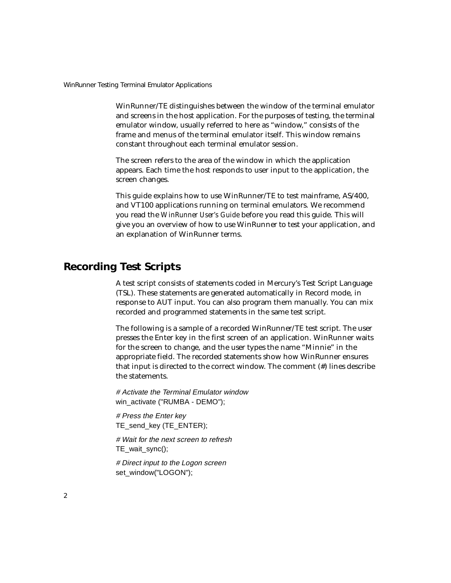<span id="page-5-0"></span>WinRunner/TE distinguishes between the window of the terminal emulator and screens in the host application. For the purposes of testing, the terminal emulator window, usually referred to here as "window," consists of the frame and menus of the terminal emulator itself. This window remains constant throughout each terminal emulator session.

The screen refers to the area of the window in which the application appears. Each time the host responds to user input to the application, the screen changes.

This guide explains how to use WinRunner/TE to test mainframe, AS/400, and VT100 applications running on terminal emulators. We recommend you read the *WinRunner User's Guide* before you read this guide. This will give you an overview of how to use WinRunner to test your application, and an explanation of WinRunner terms.

# **Recording Test Scripts**

A test script consists of statements coded in Mercury's Test Script Language (TSL). These statements are generated automatically in Record mode, in response to AUT input. You can also program them manually. You can mix recorded and programmed statements in the same test script.

The following is a sample of a recorded WinRunner/TE test script. The user presses the Enter key in the first screen of an application. WinRunner waits for the screen to change, and the user types the name "Minnie" in the appropriate field. The recorded statements show how WinRunner ensures that input is directed to the correct window. The comment (#) lines describe the statements.

# Activate the Terminal Emulator window win\_activate ("RUMBA - DEMO");

# Press the Enter key TE\_send\_key (TE\_ENTER);

# Wait for the next screen to refresh TE\_wait\_sync();

# Direct input to the Logon screen set\_window("LOGON");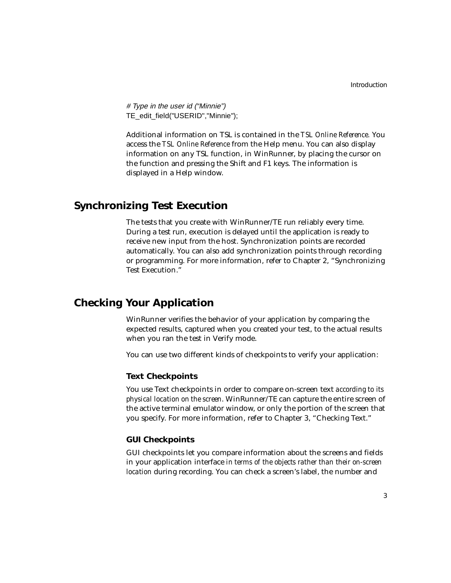<span id="page-6-0"></span># Type in the user id ("Minnie") TE\_edit\_field("USERID","Minnie");

Additional information on TSL is contained in the *TSL Online Reference.* You access the *TSL Online Reference* from the Help menu. You can also display information on any TSL function, in WinRunner, by placing the cursor on the function and pressing the Shift and F1 keys. The information is displayed in a Help window.

# **Synchronizing Test Execution**

The tests that you create with WinRunner/TE run reliably every time. During a test run, execution is delayed until the application is ready to receive new input from the host. Synchronization points are recorded automatically. You can also add synchronization points through recording or programming. For more information, refer to [Chapter 2, "Synchronizing](#page-12-0)  [Test Execution."](#page-12-0)

## **Checking Your Application**

WinRunner verifies the behavior of your application by comparing the expected results, captured when you created your test, to the actual results when you ran the test in Verify mode.

You can use two different kinds of checkpoints to verify your application:

#### **Text Checkpoints**

You use Text checkpoints in order to compare on-screen text *according to its physical location on the screen*. WinRunner/TE can capture the entire screen of the active terminal emulator window, or only the portion of the screen that you specify. For more information, refer to [Chapter 3, "Checking Text."](#page-18-0)

#### **GUI Checkpoints**

GUI checkpoints let you compare information about the screens and fields in your application interface *in terms of the objects rather than their on-screen location* during recording. You can check a screen's label, the number and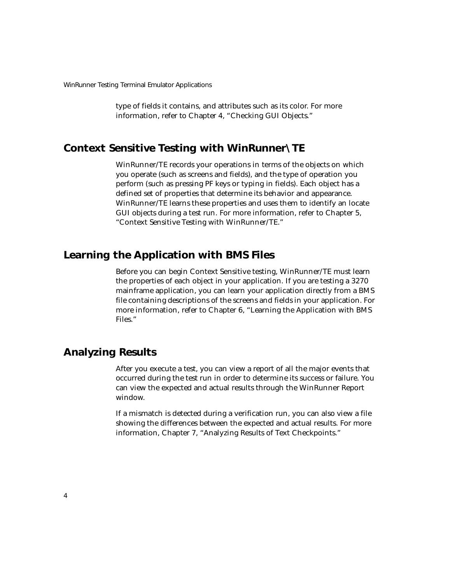type of fields it contains, and attributes such as its color. For more information, refer to [Chapter 4, "Checking GUI Objects."](#page-28-0)

### <span id="page-7-0"></span>**Context Sensitive Testing with WinRunner\TE**

WinRunner/TE records your operations in terms of the objects on which you operate (such as screens and fields), and the type of operation you perform (such as pressing PF keys or typing in fields). Each object has a defined set of properties that determine its behavior and appearance. WinRunner/TE learns these properties and uses them to identify an locate GUI objects during a test run. For more information, refer to [Chapter 5,](#page-34-0)  ["Context Sensitive Testing with WinRunner/TE."](#page-34-0)

## **Learning the Application with BMS Files**

Before you can begin Context Sensitive testing, WinRunner/TE must learn the properties of each object in your application. If you are testing a 3270 mainframe application, you can learn your application directly from a BMS file containing descriptions of the screens and fields in your application. For more information, refer to [Chapter 6, "Learning the Application with BMS](#page-42-0)  [Files."](#page-42-0)

## **Analyzing Results**

After you execute a test, you can view a report of all the major events that occurred during the test run in order to determine its success or failure. You can view the expected and actual results through the WinRunner Report window.

If a mismatch is detected during a verification run, you can also view a file showing the differences between the expected and actual results. For more information, [Chapter 7, "Analyzing Results of Text Checkpoints."](#page-48-0)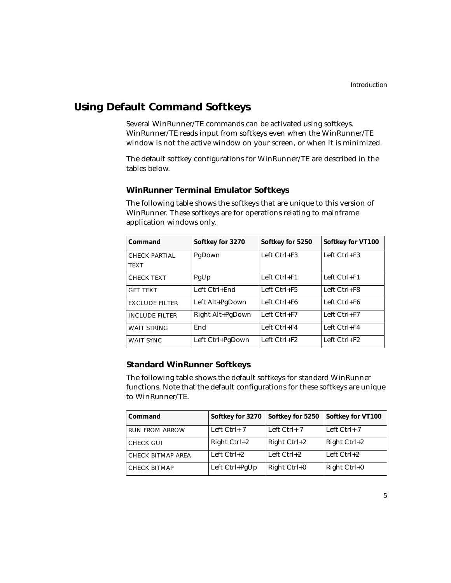# <span id="page-8-0"></span>**Using Default Command Softkeys**

Several WinRunner/TE commands can be activated using softkeys. WinRunner/TE reads input from softkeys even when the WinRunner/TE window is not the active window on your screen, or when it is minimized.

The default softkey configurations for WinRunner/TE are described in the tables below.

### **WinRunner Terminal Emulator Softkeys**

The following table shows the softkeys that are unique to this version of WinRunner. These softkeys are for operations relating to mainframe application windows only.

| Command                             | Softkey for 3270 | Softkey for 5250 | Softkey for VT100 |
|-------------------------------------|------------------|------------------|-------------------|
| <b>CHECK PARTIAL</b><br><b>TEXT</b> | PgDown           | Left Ctrl+F3     | Left $Ctrl + F3$  |
| <b>CHECK TEXT</b>                   | PgUp             | Left $Ctrl + F1$ | Left $Ctrl + F1$  |
| <b>GET TEXT</b>                     | Left Ctrl+End    | Left $CrI + F5$  | Left $Ctrl + F8$  |
| <b>EXCLUDE FILTER</b>               | Left Alt+PgDown  | Left Ctrl+F6     | Left $Ctrl + F6$  |
| <b>INCLUDE FILTER</b>               | Right Alt+PgDown | Left Ctrl+F7     | Left $Ctrl + F7$  |
| <b>WAIT STRING</b>                  | End              | Left Ctrl+F4     | Left Ctrl+F4      |
| <b>WAIT SYNC</b>                    | Left Ctrl+PgDown | Left $Ctrl + F2$ | Left $Ctrl + F2$  |

### **Standard WinRunner Softkeys**

The following table shows the default softkeys for standard WinRunner functions. Note that the default configurations for these softkeys are unique to WinRunner/TE.

| Command                  | Softkey for 3270 | Softkey for 5250 | Softkey for VT100 |
|--------------------------|------------------|------------------|-------------------|
| <b>RUN FROM ARROW</b>    | Left Ctrl+ $7$   | Left Ctrl+ $7$   | Left Ctrl+ $7$    |
| <b>CHECK GUI</b>         | Right Ctrl+2     | Right $Ctrl + 2$ | Right $Ctrl + 2$  |
| <b>CHECK BITMAP AREA</b> | Left $Ctrl + 2$  | Left $Ctrl + 2$  | Left $Ctrl + 2$   |
| <b>CHECK BITMAP</b>      | Left Ctrl+PgUp   | Right Ctrl+0     | Right Ctrl+0      |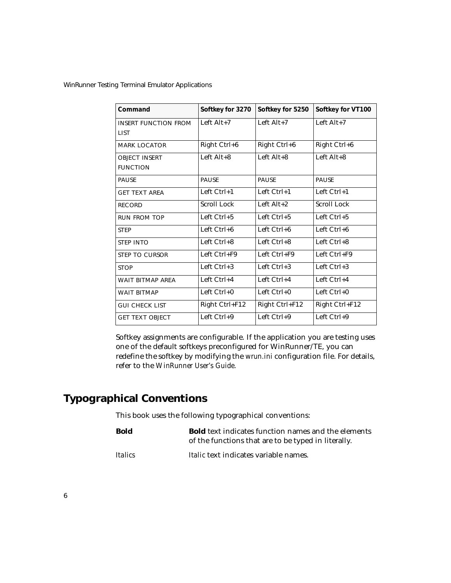<span id="page-9-0"></span>

| Command                     | Softkey for 3270   | Softkey for 5250 | Softkey for VT100  |
|-----------------------------|--------------------|------------------|--------------------|
| <b>INSERT FUNCTION FROM</b> | Left Alt+7         | Left $Alt+7$     | Left Alt+7         |
| <b>LIST</b>                 |                    |                  |                    |
| <b>MARK LOCATOR</b>         | Right Ctrl+6       | Right Ctrl+6     | Right Ctrl+6       |
| <b>OBJECT INSERT</b>        | Left $Alt+8$       | Left $Alt+8$     | Left $Alt+8$       |
| <b>FUNCTION</b>             |                    |                  |                    |
| <b>PAUSE</b>                | <b>PAUSE</b>       | <b>PAUSE</b>     | <b>PAUSE</b>       |
| <b>GET TEXT AREA</b>        | Left $Ctrl + 1$    | Left $Ctrl + 1$  | Left $Ctrl + 1$    |
| <b>RECORD</b>               | <b>Scroll Lock</b> | Left $Alt+2$     | <b>Scroll Lock</b> |
| <b>RUN FROM TOP</b>         | Left $Ctrl + 5$    | Left $Ctrl + 5$  | Left $Ctrl + 5$    |
| <b>STEP</b>                 | Left Ctrl+6        | Left Ctrl+6      | Left Ctrl+6        |
| <b>STEP INTO</b>            | Left $Ctrl + 8$    | Left $Ctrl + 8$  | Left $Ctrl + 8$    |
| <b>STEP TO CURSOR</b>       | Left $Ctrl + F9$   | Left $Ctrl + F9$ | Left $Ctrl + F9$   |
| <b>STOP</b>                 | Left $Ctrl + 3$    | Left $Ctrl + 3$  | Left $Ctrl + 3$    |
| WAIT BITMAP AREA            | Left Ctrl+4        | Left $Ctrl + 4$  | Left Ctrl+4        |
| <b>WAIT BITMAP</b>          | Left $Ctrl + 0$    | Left $Ctrl+0$    | Left $Ctrl+0$      |
| <b>GUI CHECK LIST</b>       | Right Ctrl+F12     | Right Ctrl+F12   | Right Ctrl+F12     |
| <b>GET TEXT OBJECT</b>      | Left Ctrl+9        | Left Ctrl+9      | Left Ctrl+9        |

Softkey assignments are configurable. If the application you are testing uses one of the default softkeys preconfigured for WinRunner/TE, you can redefine the softkey by modifying the *wrun.ini* configuration file. For details, refer to the *WinRunner User's Guide.*

# **Typographical Conventions**

This book uses the following typographical conventions:

| <b>Bold</b>    | <b>Bold</b> text indicates function names and the elements<br>of the functions that are to be typed in literally. |
|----------------|-------------------------------------------------------------------------------------------------------------------|
| <b>Italics</b> | <i>Italic</i> text indicates variable names.                                                                      |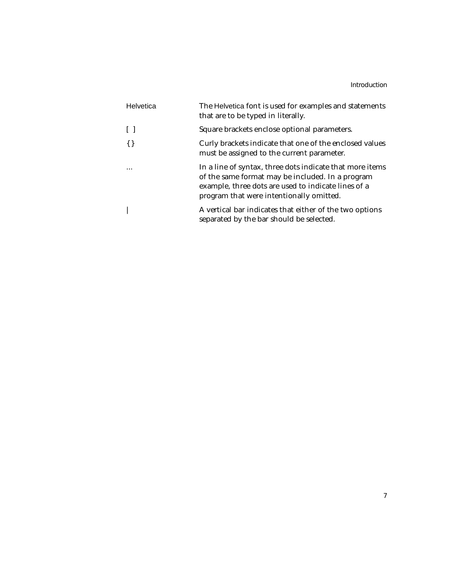| Helvetica | The Helvetica font is used for examples and statements<br>that are to be typed in literally.                                                                                                                    |
|-----------|-----------------------------------------------------------------------------------------------------------------------------------------------------------------------------------------------------------------|
| $\Box$    | Square brackets enclose optional parameters.                                                                                                                                                                    |
| $\{\}$    | Curly brackets indicate that one of the enclosed values<br>must be assigned to the current parameter.                                                                                                           |
|           | In a line of syntax, three dots indicate that more items<br>of the same format may be included. In a program<br>example, three dots are used to indicate lines of a<br>program that were intentionally omitted. |
|           | A vertical bar indicates that either of the two options<br>separated by the bar should be selected.                                                                                                             |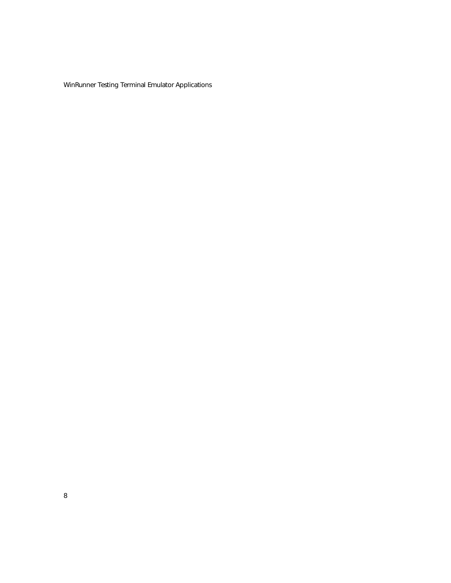WinRunner Testing Terminal Emulator Applications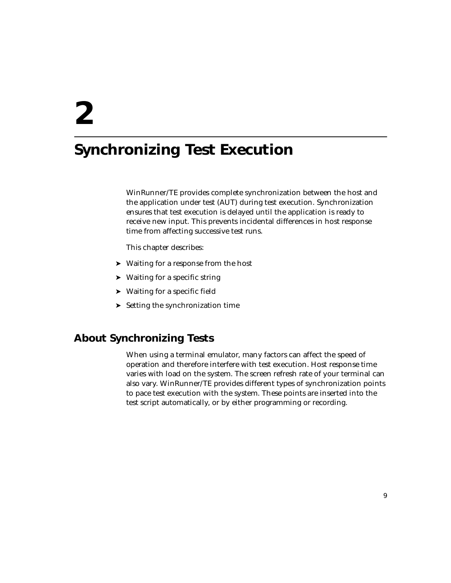<span id="page-12-0"></span>**2**

# **Synchronizing Test Execution**

WinRunner/TE provides complete synchronization between the host and the application under test (AUT) during test execution. Synchronization ensures that test execution is delayed until the application is ready to receive new input. This prevents incidental differences in host response time from affecting successive test runs.

This chapter describes:

- ➤ Waiting for a response from the host
- ➤ Waiting for a specific string
- ➤ Waiting for a specific field
- ➤ Setting the synchronization time

### **About Synchronizing Tests**

When using a terminal emulator, many factors can affect the speed of operation and therefore interfere with test execution. Host response time varies with load on the system. The screen refresh rate of your terminal can also vary. WinRunner/TE provides different types of synchronization points to pace test execution with the system. These points are inserted into the test script automatically, or by either programming or recording.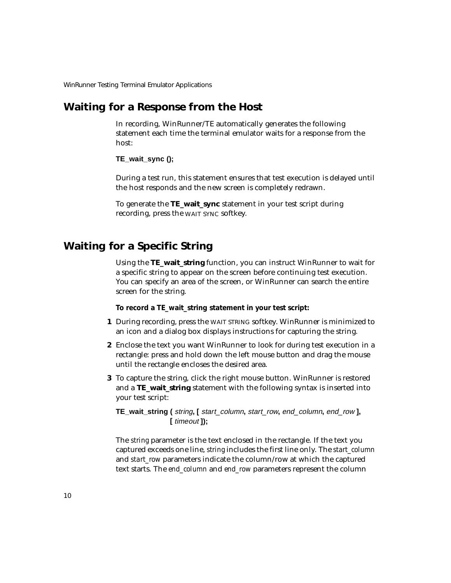# <span id="page-13-0"></span>**Waiting for a Response from the Host**

In recording, WinRunner/TE automatically generates the following statement each time the terminal emulator waits for a response from the host:

#### **TE\_wait\_sync ();**

During a test run, this statement ensures that test execution is delayed until the host responds and the new screen is completely redrawn.

To generate the **TE\_wait\_sync** statement in your test script during recording, press the WAIT SYNC softkey.

# **Waiting for a Specific String**

Using the **TE\_wait\_string** function, you can instruct WinRunner to wait for a specific string to appear on the screen before continuing test execution. You can specify an area of the screen, or WinRunner can search the entire screen for the string.

**To record a TE\_wait\_string statement in your test script:**

- **1** During recording, press the WAIT STRING softkey. WinRunner is minimized to an icon and a dialog box displays instructions for capturing the string.
- **2** Enclose the text you want WinRunner to look for during test execution in a rectangle: press and hold down the left mouse button and drag the mouse until the rectangle encloses the desired area.
- **3** To capture the string, click the right mouse button. WinRunner is restored and a **TE\_wait\_string** statement with the following syntax is inserted into your test script:

**TE\_wait\_string (** string**, [** start\_column**,** start\_row**,** end\_column**,** end\_row **], [** timeout **]);**

The *string* parameter is the text enclosed in the rectangle. If the text you captured exceeds one line, *string* includes the first line only. The *start\_column* and *start\_row* parameters indicate the column/row at which the captured text starts. The *end\_column* and *end\_row* parameters represent the column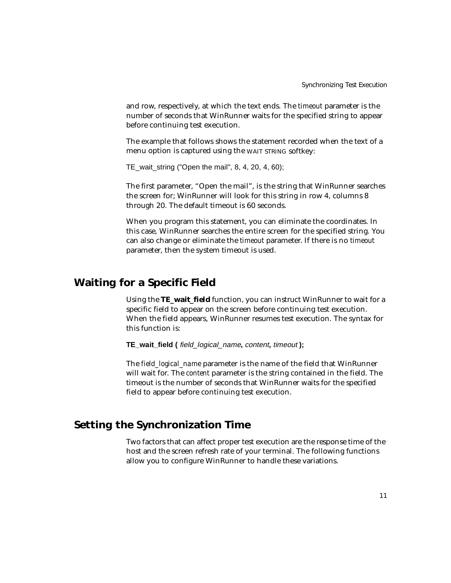<span id="page-14-0"></span>and row, respectively, at which the text ends. The *timeout* parameter is the number of seconds that WinRunner waits for the specified string to appear before continuing test execution.

The example that follows shows the statement recorded when the text of a menu option is captured using the WAIT STRING softkey:

TE wait string ("Open the mail",  $8, 4, 20, 4, 60$ );

The first parameter, "Open the mail", is the string that WinRunner searches the screen for; WinRunner will look for this string in row 4, columns 8 through 20. The default timeout is 60 seconds.

When you program this statement, you can eliminate the coordinates. In this case, WinRunner searches the entire screen for the specified string. You can also change or eliminate the *timeout* parameter. If there is no *timeout* parameter, then the system timeout is used.

### **Waiting for a Specific Field**

Using the **TE\_wait\_field** function, you can instruct WinRunner to wait for a specific field to appear on the screen before continuing test execution. When the field appears, WinRunner resumes test execution. The syntax for this function is:

**TE\_wait\_field (** field\_logical\_name**,** content**,** timeout **);**

The *field\_logical\_name* parameter is the name of the field that WinRunner will wait for. The *content* parameter is the string contained in the field. The timeout is the number of seconds that WinRunner waits for the specified field to appear before continuing test execution.

## **Setting the Synchronization Time**

Two factors that can affect proper test execution are the response time of the host and the screen refresh rate of your terminal. The following functions allow you to configure WinRunner to handle these variations.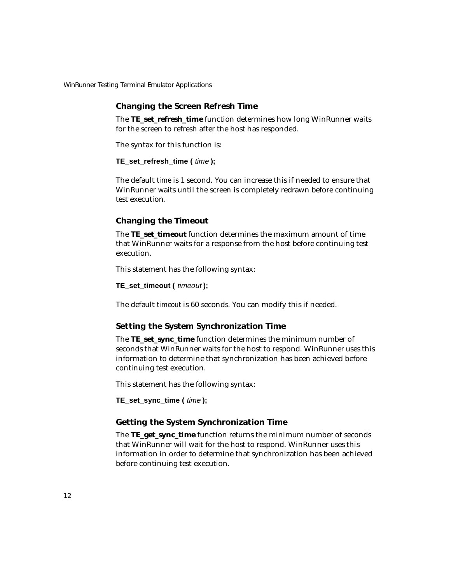### **Changing the Screen Refresh Time**

The **TE\_set\_refresh\_time** function determines how long WinRunner waits for the screen to refresh after the host has responded.

The syntax for this function is:

**TE\_set\_refresh\_time (** time **);**

The default *time* is 1 second. You can increase this if needed to ensure that WinRunner waits until the screen is completely redrawn before continuing test execution.

### **Changing the Timeout**

The **TE\_set\_timeout** function determines the maximum amount of time that WinRunner waits for a response from the host before continuing test execution.

This statement has the following syntax:

**TE\_set\_timeout (** timeout **);**

The default *timeout* is 60 seconds. You can modify this if needed.

#### **Setting the System Synchronization Time**

The **TE\_set\_sync\_time** function determines the minimum number of seconds that WinRunner waits for the host to respond. WinRunner uses this information to determine that synchronization has been achieved before continuing test execution.

This statement has the following syntax:

**TE\_set\_sync\_time (** time **);**

#### **Getting the System Synchronization Time**

The **TE\_get\_sync\_time** function returns the minimum number of seconds that WinRunner will wait for the host to respond. WinRunner uses this information in order to determine that synchronization has been achieved before continuing test execution.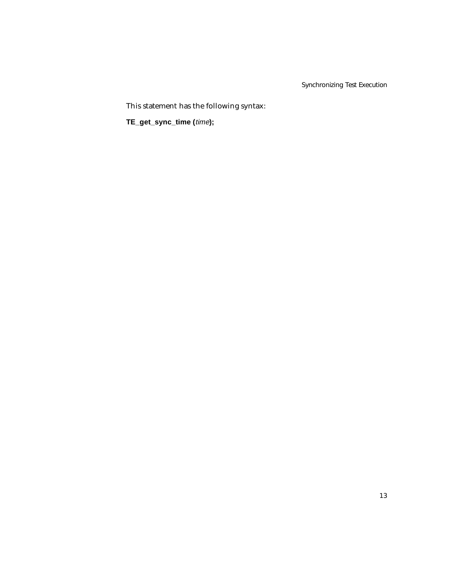<span id="page-16-0"></span>This statement has the following syntax:

**TE\_get\_sync\_time (**time**);**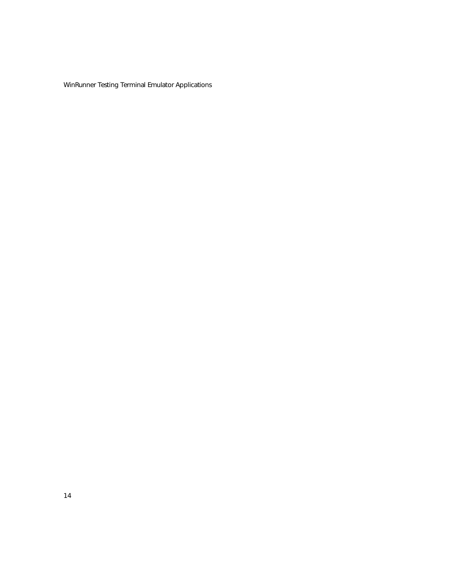WinRunner Testing Terminal Emulator Applications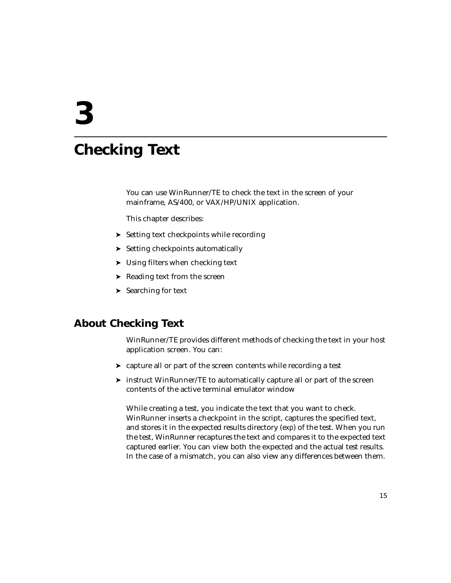<span id="page-18-0"></span>**3**

# **Checking Text**

You can use WinRunner/TE to check the text in the screen of your mainframe, AS/400, or VAX/HP/UNIX application.

This chapter describes:

- ➤ Setting text checkpoints while recording
- ➤ Setting checkpoints automatically
- ➤ Using filters when checking text
- ➤ Reading text from the screen
- ➤ Searching for text

### **About Checking Text**

WinRunner/TE provides different methods of checking the text in your host application screen. You can:

- ➤ capture all or part of the screen contents while recording a test
- ➤ instruct WinRunner/TE to automatically capture all or part of the screen contents of the active terminal emulator window

While creating a test, you indicate the text that you want to check. WinRunner inserts a checkpoint in the script, captures the specified text, and stores it in the expected results directory (*exp*) of the test. When you run the test, WinRunner recaptures the text and compares it to the expected text captured earlier. You can view both the expected and the actual test results. In the case of a mismatch, you can also view any differences between them.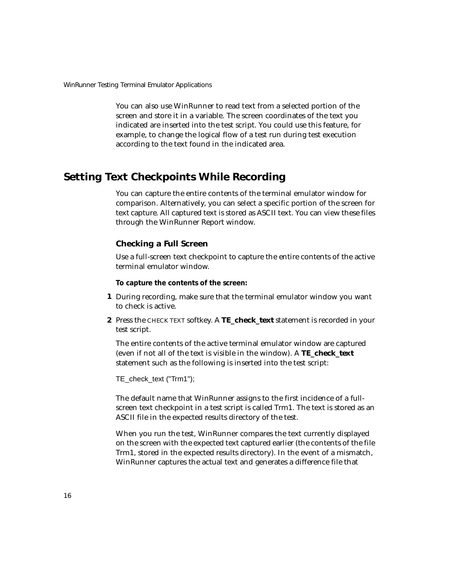<span id="page-19-0"></span>You can also use WinRunner to read text from a selected portion of the screen and store it in a variable. The screen coordinates of the text you indicated are inserted into the test script. You could use this feature, for example, to change the logical flow of a test run during test execution according to the text found in the indicated area.

# **Setting Text Checkpoints While Recording**

You can capture the entire contents of the terminal emulator window for comparison. Alternatively, you can select a specific portion of the screen for text capture. All captured text is stored as ASCII text. You can view these files through the WinRunner Report window.

### **Checking a Full Screen**

Use a full-screen text checkpoint to capture the entire contents of the active terminal emulator window.

**To capture the contents of the screen:**

- **1** During recording, make sure that the terminal emulator window you want to check is active.
- **2** Press the CHECK TEXT softkey. A **TE\_check\_text** statement is recorded in your test script.

The entire contents of the active terminal emulator window are captured (even if not all of the text is visible in the window). A **TE\_check\_text** statement such as the following is inserted into the test script:

```
TE_check_text ("Trm1");
```
The default name that WinRunner assigns to the first incidence of a fullscreen text checkpoint in a test script is called Trm1. The text is stored as an ASCII file in the expected results directory of the test.

When you run the test, WinRunner compares the text currently displayed on the screen with the expected text captured earlier (the contents of the file Trm1, stored in the expected results directory). In the event of a mismatch, WinRunner captures the actual text and generates a difference file that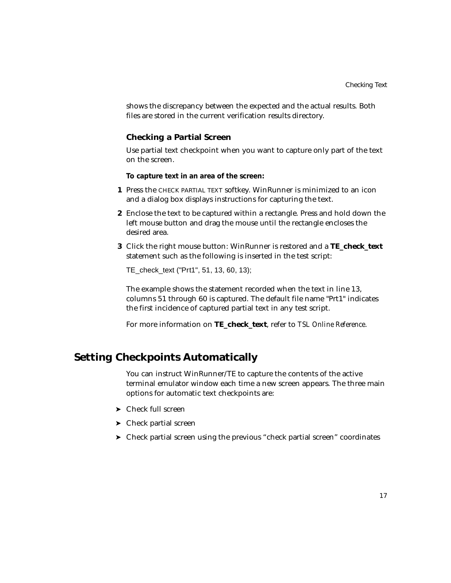<span id="page-20-0"></span>shows the discrepancy between the expected and the actual results. Both files are stored in the current verification results directory.

#### **Checking a Partial Screen**

Use partial text checkpoint when you want to capture only part of the text on the screen.

**To capture text in an area of the screen:**

- **1** Press the CHECK PARTIAL TEXT softkey. WinRunner is minimized to an icon and a dialog box displays instructions for capturing the text.
- **2** Enclose the text to be captured within a rectangle. Press and hold down the left mouse button and drag the mouse until the rectangle encloses the desired area.
- **3** Click the right mouse button: WinRunner is restored and a **TE\_check\_text** statement such as the following is inserted in the test script:

TE\_check\_text ("Prt1", 51, 13, 60, 13);

The example shows the statement recorded when the text in line 13, columns 51 through 60 is captured. The default file name "Prt1" indicates the first incidence of captured partial text in any test script.

For more information on **TE\_check\_text**, refer to *TSL Online Reference*.

### **Setting Checkpoints Automatically**

You can instruct WinRunner/TE to capture the contents of the active terminal emulator window each time a new screen appears. The three main options for automatic text checkpoints are:

- ➤ Check full screen
- ➤ Check partial screen
- ➤ Check partial screen using the previous "check partial screen" coordinates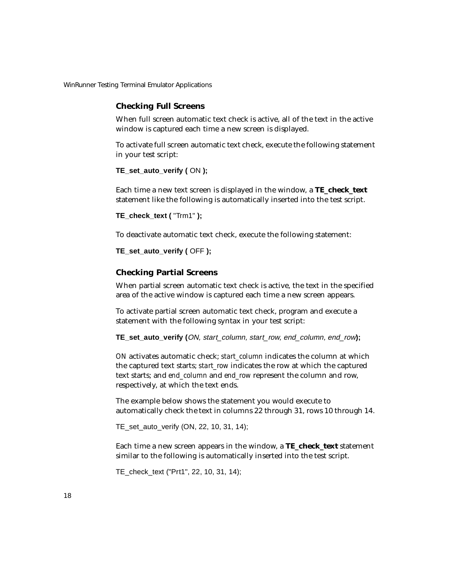### <span id="page-21-0"></span>**Checking Full Screens**

When full screen automatic text check is active, all of the text in the active window is captured each time a new screen is displayed.

To activate full screen automatic text check, execute the following statement in your test script:

```
TE_set_auto_verify ( ON );
```
Each time a new text screen is displayed in the window, a **TE\_check\_text** statement like the following is automatically inserted into the test script.

```
TE_check_text ( "Trm1" );
```
To deactivate automatic text check, execute the following statement:

```
TE_set_auto_verify ( OFF );
```
### **Checking Partial Screens**

When partial screen automatic text check is active, the text in the specified area of the active window is captured each time a new screen appears.

To activate partial screen automatic text check, program and execute a statement with the following syntax in your test script:

**TE\_set\_auto\_verify (ON, start\_column, start\_row, end\_column, end\_row);** 

*ON* activates automatic check; *start\_column* indicates the column at which the captured text starts; *start\_row* indicates the row at which the captured text starts; and *end\_column* and *end\_row* represent the column and row, respectively, at which the text ends.

The example below shows the statement you would execute to automatically check the text in columns 22 through 31, rows 10 through 14.

TE\_set\_auto\_verify (ON, 22, 10, 31, 14);

Each time a new screen appears in the window, a **TE\_check\_text** statement similar to the following is automatically inserted into the test script.

TE\_check\_text ("Prt1", 22, 10, 31, 14);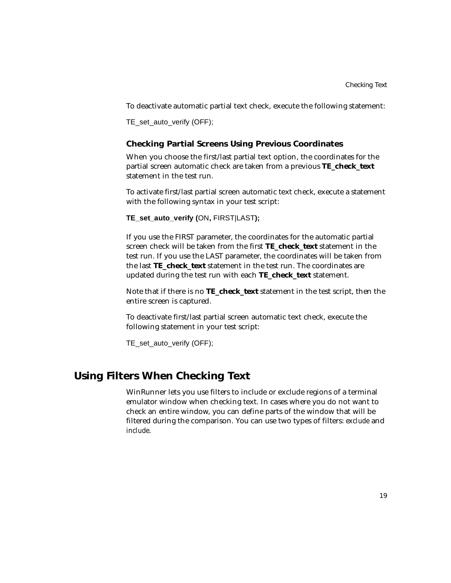<span id="page-22-0"></span>To deactivate automatic partial text check, execute the following statement:

TE\_set\_auto\_verify (OFF);

#### **Checking Partial Screens Using Previous Coordinates**

When you choose the first/last partial text option, the coordinates for the partial screen automatic check are taken from a previous **TE\_check\_text** statement in the test run.

To activate first/last partial screen automatic text check, execute a statement with the following syntax in your test script:

**TE\_set\_auto\_verify (**ON**,** FIRST|LAST**);**

If you use the FIRST parameter, the coordinates for the automatic partial screen check will be taken from the first **TE\_check\_text** statement in the test run. If you use the LAST parameter, the coordinates will be taken from the last **TE\_check\_text** statement in the test run. The coordinates are updated during the test run with each **TE\_check\_text** statement.

Note that if there is no **TE\_check\_text** statement in the test script, then the entire screen is captured.

To deactivate first/last partial screen automatic text check, execute the following statement in your test script:

TE\_set\_auto\_verify (OFF);

## **Using Filters When Checking Text**

WinRunner lets you use filters to include or exclude regions of a terminal emulator window when checking text. In cases where you do not want to check an entire window, you can define parts of the window that will be filtered during the comparison. You can use two types of filters: *exclude* and *include*.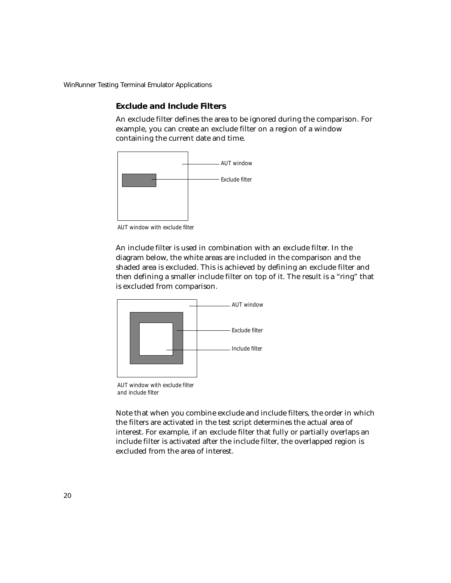### <span id="page-23-0"></span>**Exclude and Include Filters**

An exclude filter defines the area to be ignored during the comparison. For example, you can create an exclude filter on a region of a window containing the current date and time.



*AUT window with exclude filter* 

An include filter is used in combination with an exclude filter. In the diagram below, the white areas are included in the comparison and the shaded area is excluded. This is achieved by defining an exclude filter and then defining a smaller include filter on top of it. The result is a "ring" that is excluded from comparison.



*AUT window with exclude filter and include filter*

Note that when you combine exclude and include filters, the order in which the filters are activated in the test script determines the actual area of interest. For example, if an exclude filter that fully or partially overlaps an include filter is activated after the include filter, the overlapped region is excluded from the area of interest.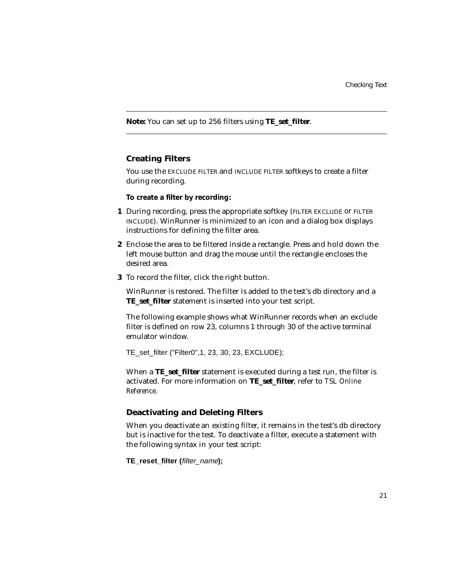<span id="page-24-0"></span>**Note:** You can set up to 256 filters using **TE\_set\_filter**.

#### **Creating Filters**

You use the EXCLUDE FILTER and INCLUDE FILTER softkeys to create a filter during recording.

**To create a filter by recording:**

- **1** During recording, press the appropriate softkey (FILTER EXCLUDE or FILTER INCLUDE). WinRunner is minimized to an icon and a dialog box displays instructions for defining the filter area.
- **2** Enclose the area to be filtered inside a rectangle. Press and hold down the left mouse button and drag the mouse until the rectangle encloses the desired area.
- **3** To record the filter, click the right button.

WinRunner is restored. The filter is added to the test's db directory and a **TE\_set\_filter** statement is inserted into your test script.

The following example shows what WinRunner records when an exclude filter is defined on row 23, columns 1 through 30 of the active terminal emulator window.

TE\_set\_filter ("Filter0",1, 23, 30, 23, EXCLUDE);

When a **TE** set filter statement is executed during a test run, the filter is activated. For more information on **TE\_set\_filter**, refer to *TSL Online Reference*.

#### **Deactivating and Deleting Filters**

When you deactivate an existing filter, it remains in the test's db directory but is inactive for the test. To deactivate a filter, execute a statement with the following syntax in your test script:

**TE\_reset\_filter (**filter\_name**);**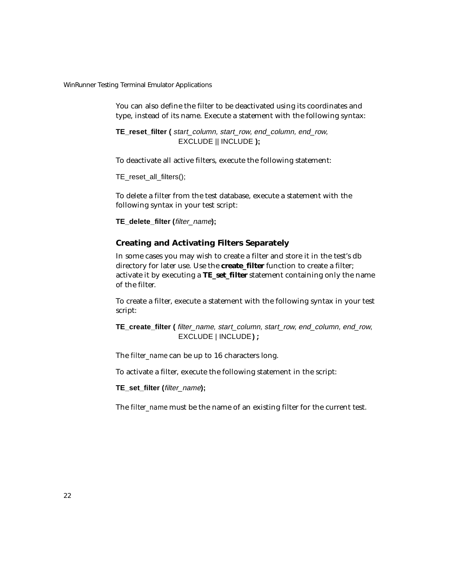<span id="page-25-0"></span>You can also define the filter to be deactivated using its coordinates and type, instead of its name. Execute a statement with the following syntax:

**TE\_reset\_filter (** start\_column, start\_row, end\_column, end\_row, EXCLUDE || INCLUDE **);**

To deactivate all active filters, execute the following statement:

TE\_reset\_all\_filters();

To delete a filter from the test database, execute a statement with the following syntax in your test script:

**TE\_delete\_filter (**filter\_name**);**

### **Creating and Activating Filters Separately**

In some cases you may wish to create a filter and store it in the test's db directory for later use. Use the **create\_filter** function to create a filter; activate it by executing a **TE\_set\_filter** statement containing only the name of the filter.

To create a filter, execute a statement with the following syntax in your test script:

**TE\_create\_filter (** filter\_name, start\_column, start\_row, end\_column, end\_row, EXCLUDE | INCLUDE**);**

The *filter\_name* can be up to 16 characters long.

To activate a filter, execute the following statement in the script:

**TE\_set\_filter (**filter\_name**);**

The *filter name* must be the name of an existing filter for the current test.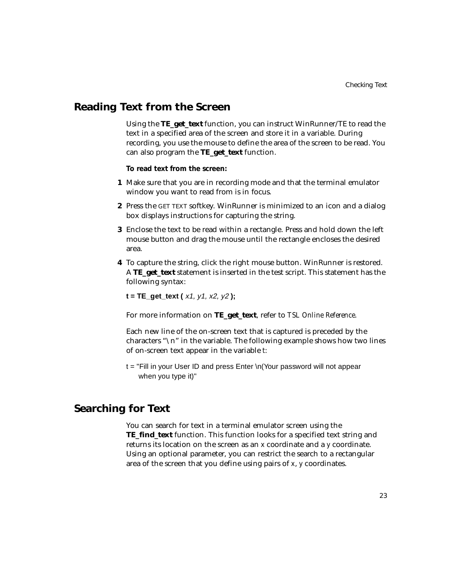## <span id="page-26-0"></span>**Reading Text from the Screen**

Using the **TE\_get\_text** function, you can instruct WinRunner/TE to read the text in a specified area of the screen and store it in a variable. During recording, you use the mouse to define the area of the screen to be read. You can also program the **TE\_get\_text** function.

**To read text from the screen:**

- **1** Make sure that you are in recording mode and that the terminal emulator window you want to read from is in focus.
- **2** Press the GET TEXT softkey. WinRunner is minimized to an icon and a dialog box displays instructions for capturing the string.
- **3** Enclose the text to be read within a rectangle. Press and hold down the left mouse button and drag the mouse until the rectangle encloses the desired area.
- **4** To capture the string, click the right mouse button. WinRunner is restored. A **TE\_get\_text** statement is inserted in the test script. This statement has the following syntax:

**t = TE\_get\_text (** x1, y1, x2, y2 **);**

For more information on **TE\_get\_text**, refer to *TSL Online Reference*.

Each new line of the on-screen text that is captured is preceded by the characters "\n" in the variable. The following example shows how two lines of on-screen text appear in the variable *t*:

t = "Fill in your User ID and press Enter \n(Your password will not appear when you type it)"

## **Searching for Text**

You can search for text in a terminal emulator screen using the **TE\_find\_text** function. This function looks for a specified text string and returns its location on the screen as an *x* coordinate and a *y* coordinate. Using an optional parameter, you can restrict the search to a rectangular area of the screen that you define using pairs of *x*, *y* coordinates.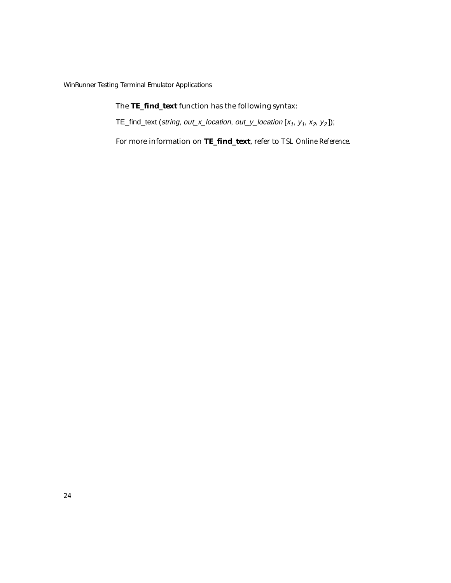<span id="page-27-0"></span>The **TE\_find\_text** function has the following syntax:

TE\_find\_text (string, out\_x\_location, out\_y\_location  $[x_1, y_1, x_2, y_2]$ );

For more information on **TE\_find\_text**, refer to *TSL Online Reference*.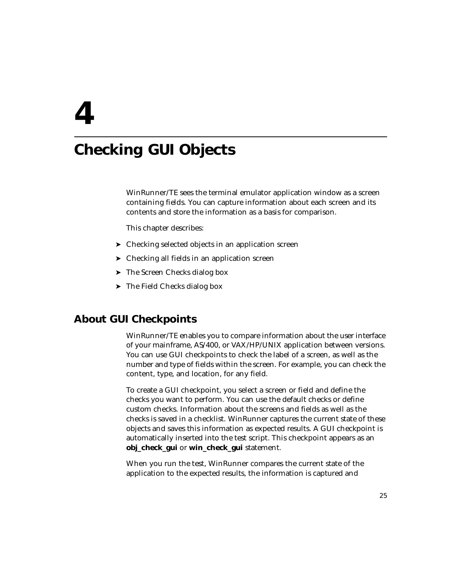<span id="page-28-0"></span>**4**

# **Checking GUI Objects**

WinRunner/TE sees the terminal emulator application window as a screen containing fields. You can capture information about each screen and its contents and store the information as a basis for comparison.

This chapter describes:

- ➤ Checking selected objects in an application screen
- ➤ Checking all fields in an application screen
- ➤ The Screen Checks dialog box
- ➤ The Field Checks dialog box

### **About GUI Checkpoints**

WinRunner/TE enables you to compare information about the user interface of your mainframe, AS/400, or VAX/HP/UNIX application between versions. You can use GUI checkpoints to check the label of a screen, as well as the number and type of fields within the screen. For example, you can check the content, type, and location, for any field.

To create a GUI checkpoint, you select a screen or field and define the checks you want to perform. You can use the default checks or define custom checks. Information about the screens and fields as well as the checks is saved in a checklist. WinRunner captures the current state of these objects and saves this information as expected results. A GUI checkpoint is automatically inserted into the test script. This checkpoint appears as an **obj\_check\_gui** or **win\_check\_gui** statement.

When you run the test, WinRunner compares the current state of the application to the expected results, the information is captured and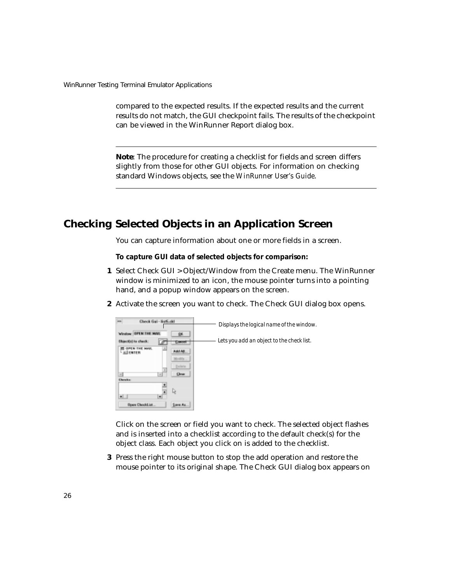<span id="page-29-0"></span>compared to the expected results. If the expected results and the current results do not match, the GUI checkpoint fails. The results of the checkpoint can be viewed in the WinRunner Report dialog box.

**Note**: The procedure for creating a checklist for fields and screen differs slightly from those for other GUI objects. For information on checking standard Windows objects, see the *WinRunner User's Guide*.

# **Checking Selected Objects in an Application Screen**

You can capture information about one or more fields in a screen.

**To capture GUI data of selected objects for comparison:**

- **1** Select Check GUI > Object/Window from the Create menu. The WinRunner window is minimized to an icon, the mouse pointer turns into a pointing hand, and a popup window appears on the screen.
- **2** Activate the screen you want to check. The Check GUI dialog box opens.



Click on the screen or field you want to check. The selected object flashes and is inserted into a checklist according to the default check(s) for the object class. Each object you click on is added to the checklist.

 **3** Press the right mouse button to stop the add operation and restore the mouse pointer to its original shape. The Check GUI dialog box appears on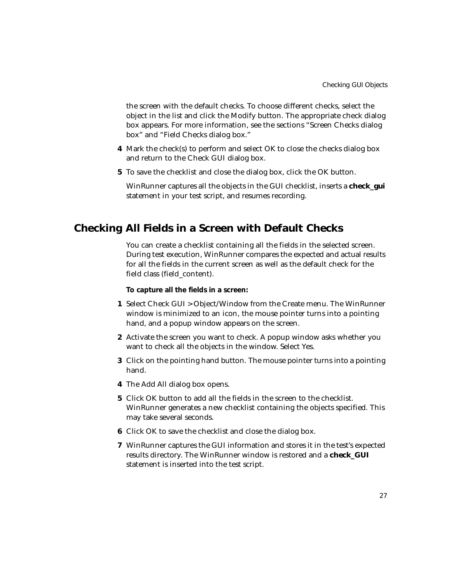<span id="page-30-0"></span>the screen with the default checks. To choose different checks, select the object in the list and click the Modify button. The appropriate check dialog box appears. For more information, [see the sections "Screen Checks dialog](#page-31-0)  [box"](#page-31-0) an[d "Field Checks dialog box."](#page-31-0)

- **4** Mark the check(s) to perform and select OK to close the checks dialog box and return to the Check GUI dialog box.
- **5** To save the checklist and close the dialog box, click the OK button.

WinRunner captures all the objects in the GUI checklist, inserts a **check\_gui** statement in your test script, and resumes recording.

## **Checking All Fields in a Screen with Default Checks**

You can create a checklist containing all the fields in the selected screen. During test execution, WinRunner compares the expected and actual results for all the fields in the current screen as well as the default check for the field class (field\_content).

**To capture all the fields in a screen:**

- **1** Select Check GUI > Object/Window from the Create menu. The WinRunner window is minimized to an icon, the mouse pointer turns into a pointing hand, and a popup window appears on the screen.
- **2** Activate the screen you want to check. A popup window asks whether you want to check all the objects in the window. Select Yes.
- **3** Click on the pointing hand button. The mouse pointer turns into a pointing hand.
- **4** The Add All dialog box opens.
- **5** Click OK button to add all the fields in the screen to the checklist. WinRunner generates a new checklist containing the objects specified. This may take several seconds.
- **6** Click OK to save the checklist and close the dialog box.
- **7** WinRunner captures the GUI information and stores it in the test's expected results directory. The WinRunner window is restored and a **check\_GUI** statement is inserted into the test script.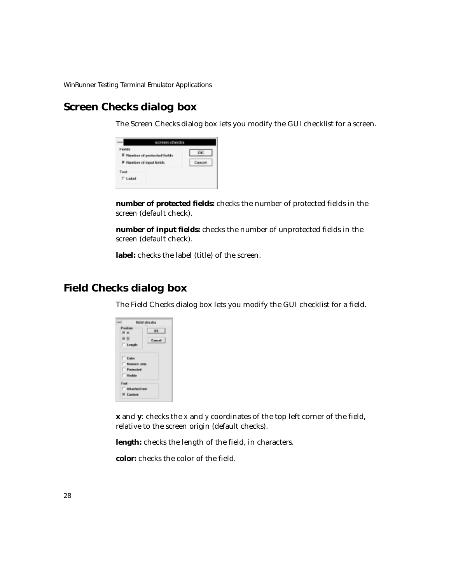# <span id="page-31-0"></span>**Screen Checks dialog box**

The Screen Checks dialog box lets you modify the GUI checklist for a screen.

| urrem chocks                                                                           |        |
|----------------------------------------------------------------------------------------|--------|
| <b>MARINE</b><br><b>X</b> Number of protected fields<br><b>W Number of input Selds</b> | Cancel |
| Text<br>Label<br>г                                                                     |        |

**number of protected fields:** checks the number of protected fields in the screen (default check).

**number of input fields:** checks the number of unprotected fields in the screen (default check).

**label:** checks the label (title) of the screen.

## **Field Checks dialog box**

The Field Checks dialog box lets you modify the GUI checklist for a field.

| <b>COLOR</b>                                                          | field checks |
|-----------------------------------------------------------------------|--------------|
| Použian.<br>区支                                                        | œ            |
| 区間                                                                    | Canad        |
| Longilly                                                              |              |
| <b>Calce</b><br><b>Nomen's:</b><br><b>Futbroked</b><br><b>Visible</b> |              |
| $F = 1$                                                               |              |
| <b>Akached Inst</b>                                                   |              |
| <b>N</b> Cardent                                                      |              |

*x* and **y**: checks the *x* and *y* coordinates of the top left corner of the field, relative to the screen origin (default checks).

**length:** checks the length of the field, in characters.

**color:** checks the color of the field.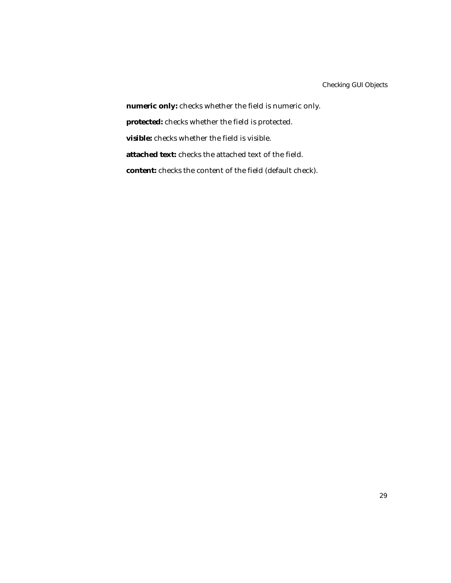<span id="page-32-0"></span>**numeric only:** checks whether the field is numeric only.

**protected:** checks whether the field is protected.

**visible:** checks whether the field is visible.

**attached text:** checks the attached text of the field.

**content:** checks the content of the field (default check).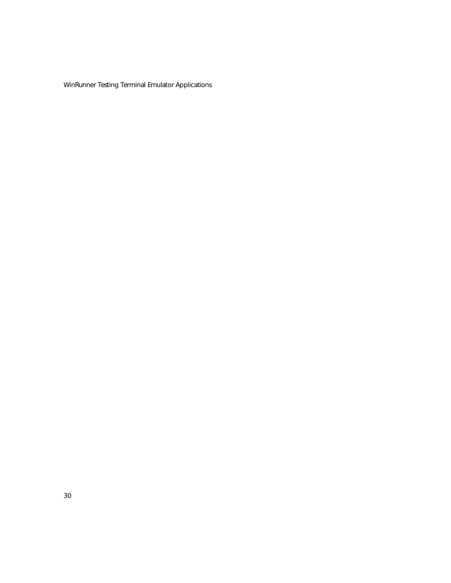WinRunner Testing Terminal Emulator Applications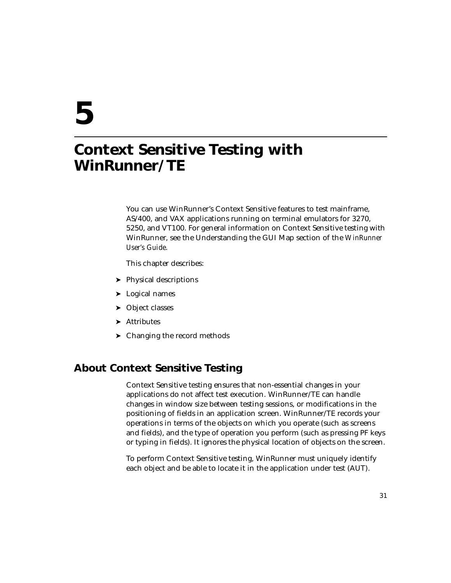<span id="page-34-0"></span>**5**

# **Context Sensitive Testing with WinRunner/TE**

You can use WinRunner's Context Sensitive features to test mainframe, AS/400, and VAX applications running on terminal emulators for 3270, 5250, and VT100. For general information on Context Sensitive testing with WinRunner, see the Understanding the GUI Map section of the *WinRunner User's Guide*.

This chapter describes:

- ➤ Physical descriptions
- ➤ Logical names
- ➤ Object classes
- ➤ Attributes
- ➤ Changing the record methods

## **About Context Sensitive Testing**

Context Sensitive testing ensures that non-essential changes in your applications do not affect test execution. WinRunner/TE can handle changes in window size between testing sessions, or modifications in the positioning of fields in an application screen. WinRunner/TE records your operations in terms of the objects on which you operate (such as screens and fields), and the type of operation you perform (such as pressing PF keys or typing in fields). It ignores the physical location of objects on the screen.

To perform Context Sensitive testing, WinRunner must uniquely identify each object and be able to locate it in the application under test (AUT).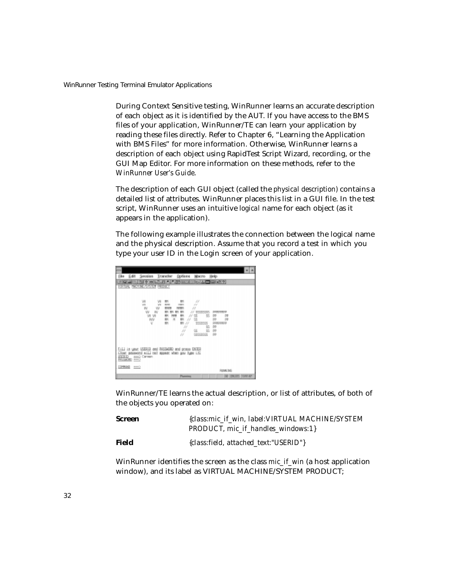During Context Sensitive testing, WinRunner learns an accurate description of each object as it is identified by the AUT. If you have access to the BMS files of your application, WinRunner/TE can learn your application by reading these files directly. Refer to [Chapter 6, "Learning the Application](#page-42-0)  [with BMS Files"](#page-42-0) for more information. Otherwise, WinRunner learns a description of each object using RapidTest Script Wizard, recording, or the GUI Map Editor. For more information on these methods, refer to the *WinRunner User's Guide*.

The description of each GUI object (called the *physical description)* contains a detailed list of attributes. WinRunner places this list in a GUI file. In the test script, WinRunner uses an intuitive *logical* name for each object (as it appears in the application).

The following example illustrates the connection between the logical name and the physical description. Assume that you record a test in which you type your user ID in the Login screen of your application.

| 134<br>■ Ⅰ                                                                                                            |
|-----------------------------------------------------------------------------------------------------------------------|
| Sousian Transfer Options Macro Holp<br>E-S11<br>Film                                                                  |
| [이어 커피] 어머 스트 지는 사이 자신 미디 어머<br>建固量                                                                                   |
| to the control of the state of the                                                                                    |
|                                                                                                                       |
| 17<br>w<br>洲<br>酬<br>m                                                                                                |
| men.<br>sV.<br>yu.<br>YB.<br><b>CONTINUE</b><br>41<br>m.<br>59<br>area<br><b>PERSON</b>                               |
| w<br>US.<br>AT \$500,000.<br>m.<br><b><i>PERMIT</i></b>                                                               |
| 55<br>YE YE.<br>m<br>$10.25 - 1$<br>œ<br>m<br>m<br>m<br>29<br>EW.<br>$\mathcal{O}^*$ . SS $-$ .<br>DD.<br>m<br>n<br>m |
| V<br>me.<br>m.<br>W.<br>$\mathcal{N}$<br>po<br>89 L                                                                   |
| jS,<br>59.<br>pp<br><b>SEC 18</b>                                                                                     |
| ù<br>10010015<br>DG.                                                                                                  |
|                                                                                                                       |
| ELLI La your: USERLI and RRSSADID and prass DATER                                                                     |
| Your personnel will not appear when you fuse it!                                                                      |
| ECREC and Career                                                                                                      |
| OWNER<br>- mode                                                                                                       |
| <b>REMARKS</b>                                                                                                        |
| <b>OF BRIDE TO STICK</b><br><b>Planning</b>                                                                           |

WinRunner/TE learns the actual description, or list of attributes, of both of the objects you operated on:

| Screen | {class:mic if win, label: VIRTUAL MACHINE/SYSTEM |
|--------|--------------------------------------------------|
|        | <b>PRODUCT, mic if handles windows:1}</b>        |
| Field  | {class:field, attached text:"USERID"}            |

WinRunner identifies the screen as the class *mic\_if\_win* (a host application window), and its label as VIRTUAL MACHINE/SYSTEM PRODUCT;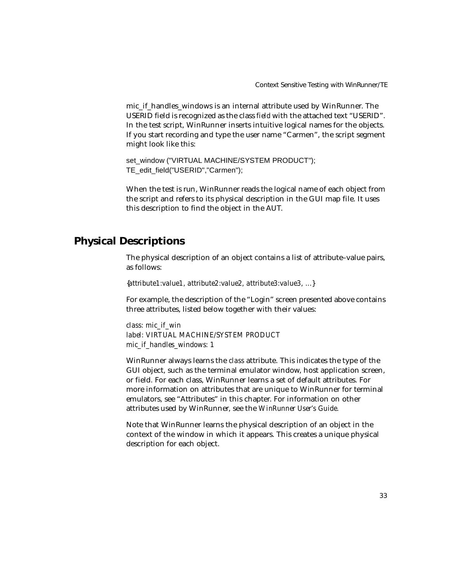<span id="page-36-0"></span>mic\_if\_handles\_windows is an internal attribute used by WinRunner. The USERID field is recognized as the class *field* with the attached text "USERID". In the test script, WinRunner inserts intuitive logical names for the objects. If you start recording and type the user name "Carmen", the script segment might look like this:

set\_window ("VIRTUAL MACHINE/SYSTEM PRODUCT"); TE\_edit\_field("USERID","Carmen");

When the test is run, WinRunner reads the logical name of each object from the script and refers to its physical description in the GUI map file. It uses this description to find the object in the AUT.

# **Physical Descriptions**

The physical description of an object contains a list of attribute–value pairs, as follows:

{*attribute1:value1, attribute2:value2, attribute3:value3, ...*}

For example, the description of the "Login" screen presented above contains three attributes, listed below together with their values:

*class: mic\_if\_win label: VIRTUAL MACHINE/SYSTEM PRODUCT mic\_if\_handles\_windows: 1*

WinRunner always learns the *class* attribute. This indicates the type of the GUI object, such as the terminal emulator window, host application screen, or field. For each class, WinRunner learns a set of default attributes. For more information on attributes that are unique to WinRunner for terminal emulators, see "[Attributes"](#page-38-0) in this chapter. For information on other attributes used by WinRunner, see the *WinRunner User's Guide.*

Note that WinRunner learns the physical description of an object in the context of the window in which it appears. This creates a unique physical description for each object.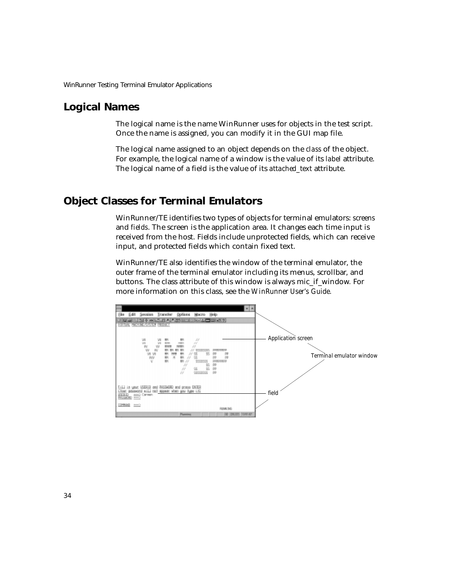## <span id="page-37-0"></span>**Logical Names**

The logical name is the name WinRunner uses for objects in the test script. Once the name is assigned, you can modify it in the GUI map file.

The logical name assigned to an object depends on the *class* of the object. For example, the logical name of a window is the value of its *label* attribute. The logical name of a field is the value of its *attached\_text* attribute.

## **Object Classes for Terminal Emulators**

WinRunner/TE identifies two types of objects for terminal emulators: *screens*  and *fields*. The screen is the application area. It changes each time input is received from the host. Fields include unprotected fields, which can receive input, and protected fields which contain fixed text.

WinRunner/TE also identifies the window of the terminal emulator, the outer frame of the terminal emulator including its menus, scrollbar, and buttons. The class attribute of this window is always mic\_if\_window*.* For more information on this class, see the *WinRunner User's Guide.*

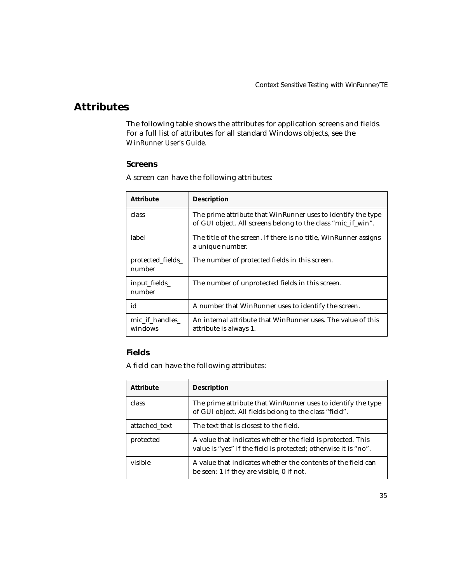## <span id="page-38-0"></span>**Attributes**

The following table shows the attributes for application screens and fields. For a full list of attributes for all standard Windows objects, see the *WinRunner User's Guide*.

#### **Screens**

A screen can have the following attributes:

| <b>Attribute</b>            | Description                                                                                                                  |
|-----------------------------|------------------------------------------------------------------------------------------------------------------------------|
| class                       | The prime attribute that WinRunner uses to identify the type<br>of GUI object. All screens belong to the class "mic_if_win". |
| label                       | The title of the screen. If there is no title, WinRunner assigns<br>a unique number.                                         |
| protected_fields_<br>number | The number of protected fields in this screen.                                                                               |
| input_fields_<br>number     | The number of unprotected fields in this screen.                                                                             |
| id                          | A number that WinRunner uses to identify the screen.                                                                         |
| mic_if_handles_<br>windows  | An internal attribute that WinRunner uses. The value of this<br>attribute is always 1.                                       |

### **Fields**

A field can have the following attributes:

| <b>Attribute</b> | Description                                                                                                                    |  |
|------------------|--------------------------------------------------------------------------------------------------------------------------------|--|
| class            | The prime attribute that WinRunner uses to identify the type<br>of GUI object. All fields belong to the class "field".         |  |
| attached text    | The text that is closest to the field.                                                                                         |  |
| protected        | A value that indicates whether the field is protected. This<br>value is "yes" if the field is protected; otherwise it is "no". |  |
| visible          | A value that indicates whether the contents of the field can<br>be seen: 1 if they are visible, 0 if not.                      |  |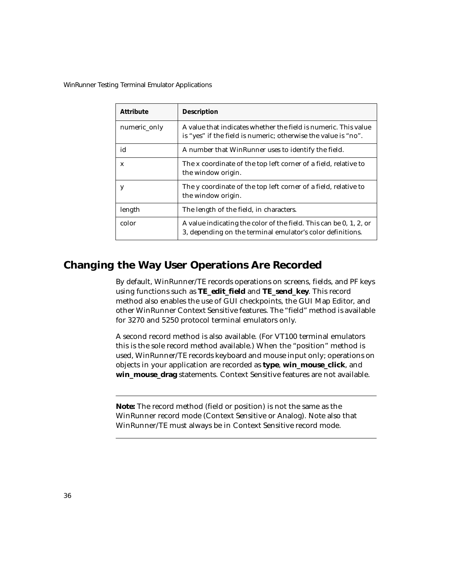<span id="page-39-0"></span>

| <b>Attribute</b> | Description                                                                                                                       |  |  |
|------------------|-----------------------------------------------------------------------------------------------------------------------------------|--|--|
| numeric_only     | A value that indicates whether the field is numeric. This value<br>is "yes" if the field is numeric; otherwise the value is "no". |  |  |
| id               | A number that WinRunner uses to identify the field.                                                                               |  |  |
| $\mathbf x$      | The x coordinate of the top left corner of a field, relative to<br>the window origin.                                             |  |  |
| y                | The y coordinate of the top left corner of a field, relative to<br>the window origin.                                             |  |  |
| length           | The length of the field, in characters.                                                                                           |  |  |
| color            | A value indicating the color of the field. This can be 0, 1, 2, or<br>3, depending on the terminal emulator's color definitions.  |  |  |

# **Changing the Way User Operations Are Recorded**

By default, WinRunner/TE records operations on screens, fields, and PF keys using functions such as **TE\_edit\_field** and **TE\_send\_key**. This record method also enables the use of GUI checkpoints, the GUI Map Editor, and other WinRunner Context Sensitive features. The "field" method is available for 3270 and 5250 protocol terminal emulators only.

A second record method is also available. (For VT100 terminal emulators this is the sole record method available.) When the "position" method is used, WinRunner/TE records keyboard and mouse input only; operations on objects in your application are recorded as **type**, **win\_mouse\_click**, and **win\_mouse\_drag** statements. Context Sensitive features are not available.

**Note:** The record method (field or position) is not the same as the WinRunner record mode (Context Sensitive or Analog). Note also that WinRunner/TE must always be in Context Sensitive record mode.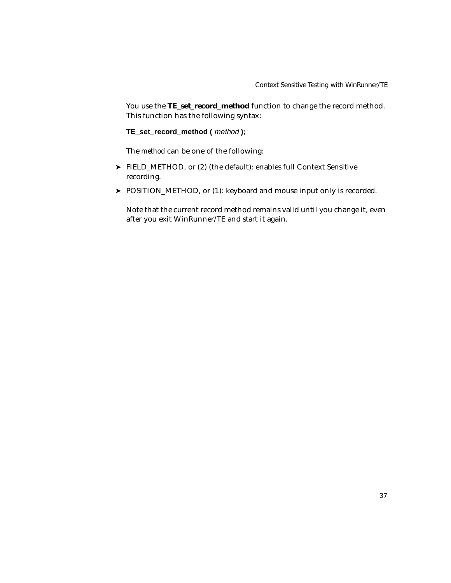<span id="page-40-0"></span>You use the **TE\_set\_record\_method** function to change the record method. This function has the following syntax:

**TE\_set\_record\_method (** method **);**

The *method* can be one of the following:

- ➤ FIELD\_METHOD, or (2) (the default): enables full Context Sensitive recording.
- ➤ POSITION\_METHOD, or (1): keyboard and mouse input only is recorded.

Note that the current record method remains valid until you change it, even after you exit WinRunner/TE and start it again.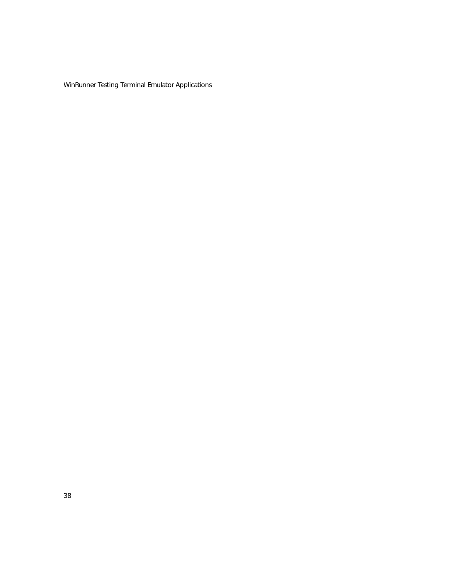WinRunner Testing Terminal Emulator Applications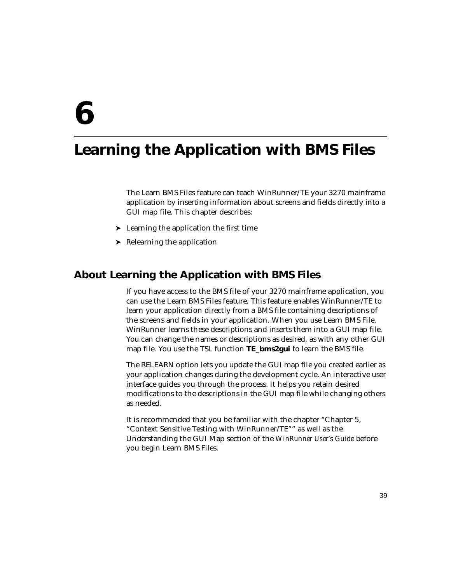# <span id="page-42-0"></span>**Learning the Application with BMS Files**

The Learn BMS Files feature can teach WinRunner/TE your 3270 mainframe application by inserting information about screens and fields directly into a GUI map file. This chapter describes:

- ➤ Learning the application the first time
- $\blacktriangleright$  Relearning the application

### **About Learning the Application with BMS Files**

If you have access to the BMS file of your 3270 mainframe application, you can use the Learn BMS Files feature. This feature enables WinRunner/TE to learn your application directly from a BMS file containing descriptions of the screens and fields in your application. When you use Learn BMS File, WinRunner learns these descriptions and inserts them into a GUI map file. You can change the names or descriptions as desired, as with any other GUI map file. You use the TSL function **TE\_bms2gui** to learn the BMS file.

The RELEARN option lets you update the GUI map file you created earlier as your application changes during the development cycle. An interactive user interface guides you through the process. It helps you retain desired modifications to the descriptions in the GUI map file while changing others as needed.

It is recommended that you be familiar with the chapter "[Chapter 5,](#page-34-0)  ["Context Sensitive Testing with WinRunner/TE"](#page-34-0)" as well as the Understanding the GUI Map section of the *WinRunner User's Guide* before you begin Learn BMS Files.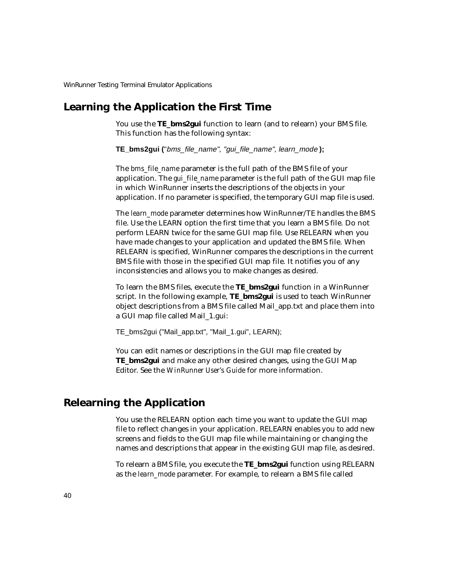# <span id="page-43-0"></span>**Learning the Application the First Time**

You use the **TE\_bms2gui** function to learn (and to relearn) your BMS file. This function has the following syntax:

**TE\_bms2gui (**"bms\_file\_name", "gui\_file\_name", learn\_mode **);**

The *bms\_file\_name* parameter is the full path of the BMS file of your application. The *gui\_file\_name* parameter is the full path of the GUI map file in which WinRunner inserts the descriptions of the objects in your application. If no parameter is specified, the temporary GUI map file is used.

The *learn\_mode* parameter determines how WinRunner/TE handles the BMS file. Use the LEARN option the first time that you learn a BMS file. Do not perform LEARN twice for the same GUI map file. Use RELEARN when you have made changes to your application and updated the BMS file. When RELEARN is specified, WinRunner compares the descriptions in the current BMS file with those in the specified GUI map file. It notifies you of any inconsistencies and allows you to make changes as desired.

To learn the BMS files, execute the **TE\_bms2gui** function in a WinRunner script. In the following example, **TE\_bms2gui** is used to teach WinRunner object descriptions from a BMS file called Mail\_app.txt and place them into a GUI map file called Mail\_1.gui:

TE\_bms2gui ("Mail\_app.txt", "Mail\_1.gui", LEARN);

You can edit names or descriptions in the GUI map file created by **TE\_bms2gui** and make any other desired changes, using the GUI Map Editor. See the *WinRunner User's Guide* for more information.

# **Relearning the Application**

You use the RELEARN option each time you want to update the GUI map file to reflect changes in your application. RELEARN enables you to add new screens and fields to the GUI map file while maintaining or changing the names and descriptions that appear in the existing GUI map file, as desired.

To relearn a BMS file, you execute the **TE\_bms2gui** function using RELEARN as the *learn\_mode* parameter. For example, to relearn a BMS file called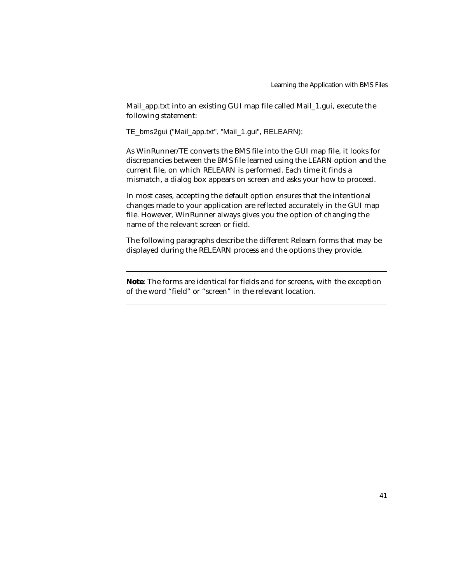Mail\_app.txt into an existing GUI map file called Mail\_1.gui, execute the following statement:

TE\_bms2gui ("Mail\_app.txt", "Mail\_1.gui", RELEARN);

As WinRunner/TE converts the BMS file into the GUI map file, it looks for discrepancies between the BMS file learned using the LEARN option and the current file, on which RELEARN is performed. Each time it finds a mismatch, a dialog box appears on screen and asks your how to proceed.

In most cases, accepting the default option ensures that the intentional changes made to your application are reflected accurately in the GUI map file. However, WinRunner always gives you the option of changing the name of the relevant screen or field.

The following paragraphs describe the different Relearn forms that may be displayed during the RELEARN process and the options they provide.

**Note**: The forms are identical for fields and for screens, with the exception of the word "field" or "screen" in the relevant location.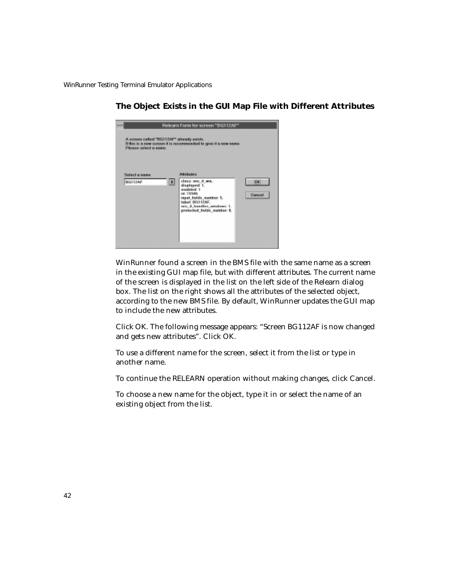**The Object Exists in the GUI Map File with Different Attributes**



WinRunner found a screen in the BMS file with the same name as a screen in the existing GUI map file, but with different attributes. The current name of the screen is displayed in the list on the left side of the Relearn dialog box. The list on the right shows all the attributes of the selected object, according to the new BMS file. By default, WinRunner updates the GUI map to include the new attributes.

Click OK. The following message appears: "Screen BG112AF is now changed and gets new attributes". Click OK.

To use a different name for the screen, select it from the list or type in another name.

To continue the RELEARN operation without making changes, click Cancel.

To choose a new name for the object, type it in or select the name of an existing object from the list.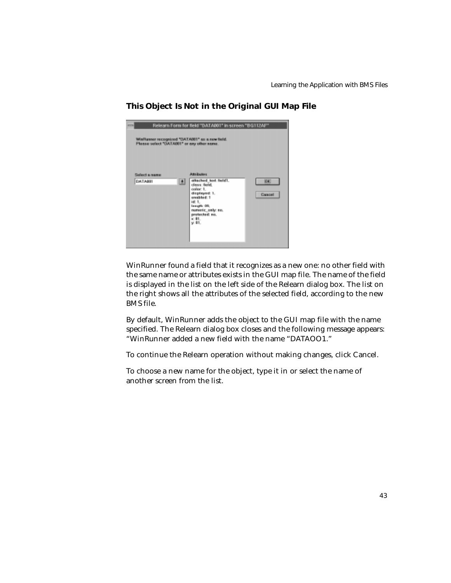

**This Object Is Not in the Original GUI Map File**

WinRunner found a field that it recognizes as a new one: no other field with the same name or attributes exists in the GUI map file. The name of the field is displayed in the list on the left side of the Relearn dialog box. The list on the right shows all the attributes of the selected field, according to the new BMS file.

By default, WinRunner adds the object to the GUI map file with the name specified. The Relearn dialog box closes and the following message appears: "WinRunner added a new field with the name "DATAOO1."

To continue the Relearn operation without making changes, click Cancel.

To choose a new name for the object, type it in or select the name of another screen from the list.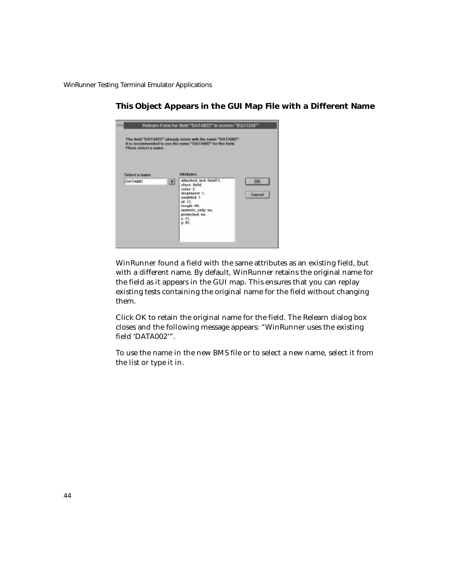**This Object Appears in the GUI Map File with a Different Name**



WinRunner found a field with the same attributes as an existing field, but with a different name. By default, WinRunner retains the original name for the field as it appears in the GUI map. This ensures that you can replay existing tests containing the original name for the field without changing them.

Click OK to retain the original name for the field. The Relearn dialog box closes and the following message appears: "WinRunner uses the existing field 'DATA002'".

To use the name in the new BMS file or to select a new name, select it from the list or type it in.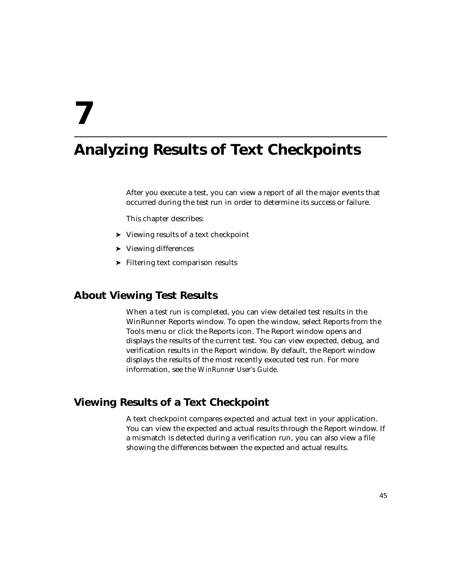<span id="page-48-0"></span>**7**

# **Analyzing Results of Text Checkpoints**

After you execute a test, you can view a report of all the major events that occurred during the test run in order to determine its success or failure.

This chapter describes:

- ➤ Viewing results of a text checkpoint
- ➤ Viewing differences
- ➤ Filtering text comparison results

### **About Viewing Test Results**

When a test run is completed, you can view detailed test results in the WinRunner Reports window. To open the window, select Reports from the Tools menu or click the Reports icon. The Report window opens and displays the results of the current test. You can view expected, debug, and verification results in the Report window. By default, the Report window displays the results of the most recently executed test run. For more information, see the *WinRunner User's Guide.* 

### **Viewing Results of a Text Checkpoint**

A text checkpoint compares expected and actual text in your application. You can view the expected and actual results through the Report window. If a mismatch is detected during a verification run, you can also view a file showing the differences between the expected and actual results.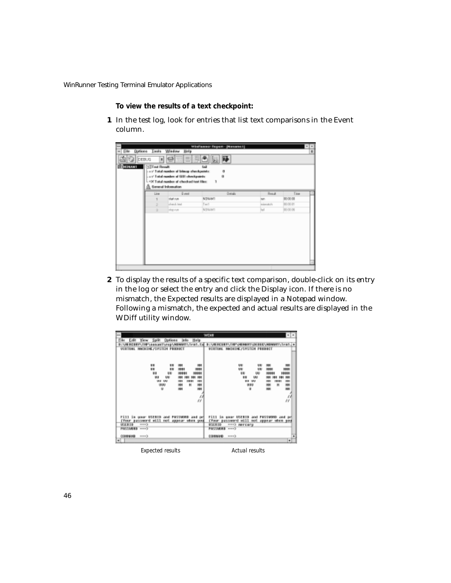**To view the results of a text checkpoint:**

 **1** In the test log, look for entries that list text comparisons in the Event column.

|                                | Winfisseer Report - (Nonsee I)<br>m. |                                                                                                                                                          |               |          |                 |              |    |  |
|--------------------------------|--------------------------------------|----------------------------------------------------------------------------------------------------------------------------------------------------------|---------------|----------|-----------------|--------------|----|--|
| <b>Eile</b><br>er l            | <b>Diplices</b> Lools                | Window Help                                                                                                                                              |               |          |                 |              | g. |  |
| 日暮<br>图圆圈<br>al Callberto<br>⋓ |                                      |                                                                                                                                                          |               |          |                 |              |    |  |
| <b>REDACTS AND</b>             | <b>DSTest Result:</b>                | - v v Total number of bibrap checkpoints;<br>and Trated manifest of GAII about points.<br>-SXT old number of checked last like: 1<br>General Information | 14            | 價<br>ò.  |                 |              |    |  |
|                                | Line.                                | Event                                                                                                                                                    |               | Details: | <b>Read</b>     | Time         |    |  |
|                                | 1                                    | station.                                                                                                                                                 | NUMME         |          | <b>Top</b>      | 開の部          |    |  |
|                                | 全                                    | about two                                                                                                                                                | $1 - 1$       |          | minimum dan ibu | month in     |    |  |
|                                | 31                                   | interportate                                                                                                                                             | <b>STRAKT</b> |          | hall            | <b>BROOM</b> |    |  |
|                                |                                      |                                                                                                                                                          |               |          |                 |              |    |  |

 **2** To display the results of a specific text comparison, double-click on its entry in the log or select the entry and click the Display icon. If there is no mismatch, the Expected results are displayed in a Notepad window. Following a mismatch, the expected and actual results are displayed in the WDiff utility window.

|                                                                                                                                                                                                                                        | WEEK<br>œ.                                                                                                                                                                                                                                |
|----------------------------------------------------------------------------------------------------------------------------------------------------------------------------------------------------------------------------------------|-------------------------------------------------------------------------------------------------------------------------------------------------------------------------------------------------------------------------------------------|
| Salit.<br><b>Dollogg</b><br>L din<br><b>Tiers</b><br>links.<br>Help.                                                                                                                                                                   |                                                                                                                                                                                                                                           |
| VERTURE, INCREDIE/SYSTEM PRODUCT                                                                                                                                                                                                       | BINJE KOREV, THE SHIRKENTS (ASSAULT) STATES (BIS AN ECONTS THE SHIRKEN SERIES MINORTS THE L.A.<br>ULRIUM, NICHTHEZSTSTEN PRODUCT                                                                                                          |
| uш<br>uш<br>田田<br><b>BH</b><br><b>HIGH-</b><br>ūв.<br><b>HORACE</b><br>UU.<br>88<br>UU.<br><b>HIM</b><br>1984<br>Web Mar<br><b>HER</b><br>min<br><b>Firms</b><br>1934<br><b>HOL</b><br>ш<br>18,83<br><b>BM</b><br><b>BM</b><br>U.<br>Ù | UU.<br>w<br><b>UBI</b><br><b>MB</b><br><b>BOOK</b><br>99.<br>UU.<br>10091<br>期間<br>UU.<br><b>Mark</b><br><b>BM MM</b><br><b>HH</b><br><b>Diff</b><br>m<br><b>BOB</b><br>н<br>999<br><b>BBS</b><br><b>BBI</b><br>崩<br><b>BBI</b><br>Ù<br>ü |
| F111 in now EXERC<br>and gel<br>July PESSMORE<br>(Your password will not appear when you<br><b>USERIE</b><br>mana (b.<br><b>PACCAMERS</b><br><b>Service</b> (B)<br>00000300 === 0                                                      | Fill in your USERID<br><b>John T</b><br>日本の関節の場合<br>Chour password will not appear when you<br><b>BEARIN</b><br><b>HELD REFERRY</b><br>新聞文献講座長 (mmm2)<br><b>EDIMAGES</b><br>u,<br><b>CONTRACTOR</b>                                       |
| ×.                                                                                                                                                                                                                                     | ٠                                                                                                                                                                                                                                         |

*Expected results Actual results*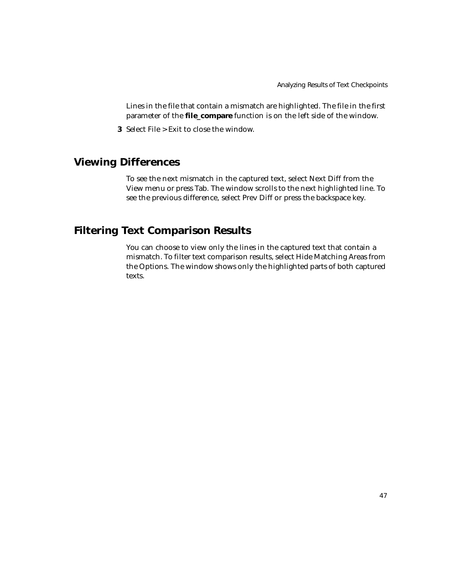<span id="page-50-0"></span>Lines in the file that contain a mismatch are highlighted. The file in the first parameter of the **file\_compare** function is on the left side of the window.

 **3** Select File > Exit to close the window.

## **Viewing Differences**

To see the next mismatch in the captured text, select Next Diff from the View menu or press Tab. The window scrolls to the next highlighted line. To see the previous difference, select Prev Diff or press the backspace key.

# **Filtering Text Comparison Results**

You can choose to view only the lines in the captured text that contain a mismatch. To filter text comparison results, select Hide Matching Areas from the Options. The window shows only the highlighted parts of both captured texts.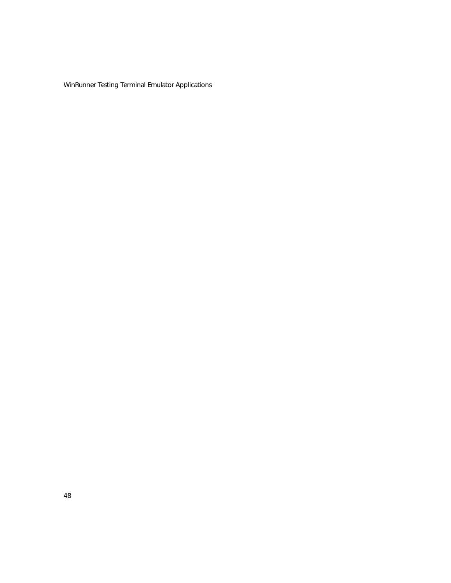WinRunner Testing Terminal Emulator Applications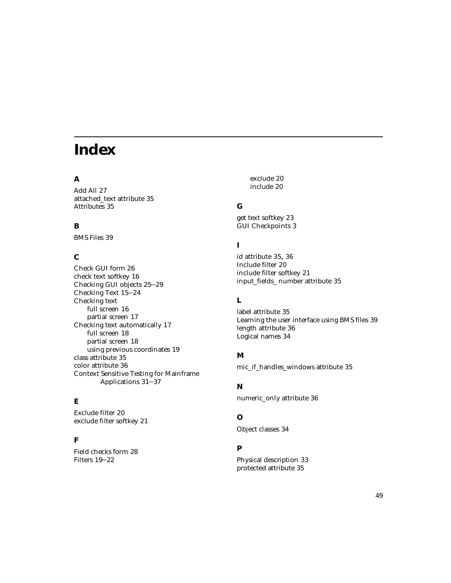# <span id="page-52-0"></span>**Index**

#### **A**

Add All [27](#page-30-0) attached\_text attribute [35](#page-38-0) Attributes [35](#page-38-0)

#### **B**

BMS Files [39](#page-42-0)

#### **C**

Check GUI form [26](#page-29-0) check text softkey [16](#page-19-0) Checking GUI objects [25](#page-28-0)–[29](#page-32-0) Checking Text [15](#page-18-0)–[24](#page-27-0) Checking text full screen [16](#page-19-0) partial screen [17](#page-20-0) Checking text [automatically](#page-21-0) [17](#page-20-0) full screen 18 partial screen [18](#page-21-0) using pre[vious coordinates](#page-38-0) [19](#page-22-0) class attribute 35 color attribute [36](#page-39-0) Context Sensitive Testing [for Mainframe](#page-40-0)  Applications [31](#page-34-0)–37

#### **E**

Exclude filter [20](#page-23-0) exclude filter softkey [21](#page-24-0)

#### **F**

Field checks form [28](#page-31-0) Filters [19](#page-22-0)–[22](#page-25-0)

exclude [20](#page-23-0) include [20](#page-23-0)

#### **G**

get text softkey [23](#page-26-0) GUI Checkpoints [3](#page-6-0)

#### **I**

id attribute [35](#page-38-0), [36](#page-39-0) Include filter [20](#page-23-0) include filter softkey [21](#page-24-0) input\_fields\_ number attribute [35](#page-38-0)

#### **L**

label attribute [35](#page-38-0) Learning the us[er interface using BMS files](#page-39-0) [39](#page-42-0) length attribute 36 Logical names [34](#page-37-0)

#### **M**

mic if handles windows attribute [35](#page-38-0)

#### **N**

numeric\_only attribute [36](#page-39-0)

#### **O**

Object classes [34](#page-37-0)

#### **P**

Physical description [33](#page-36-0) protected attribute [35](#page-38-0)